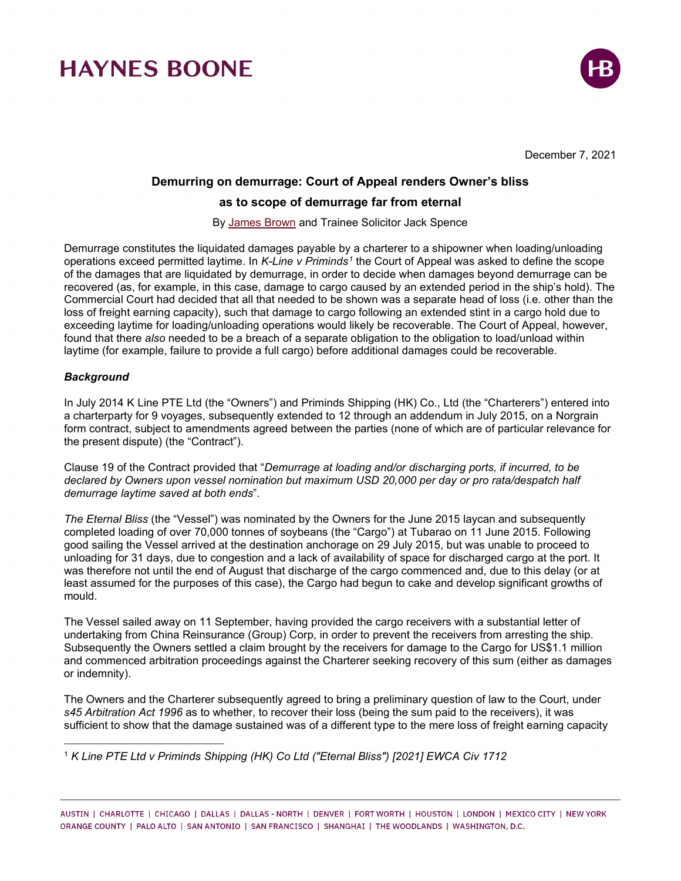

December 7, 2021

### **Demurring on demurrage: Court of Appeal renders Owner's bliss**

### **as to scope of demurrage far from eternal**

By [James Brown](https://www.haynesboone.com/people/brown-james) and Trainee Solicitor Jack Spence

Demurrage constitutes the liquidated damages payable by a charterer to a shipowner when loading/unloading operations exceed permitted laytime. In *K-Line v Priminds[1](#page-0-0)* the Court of Appeal was asked to define the scope of the damages that are liquidated by demurrage, in order to decide when damages beyond demurrage can be recovered (as, for example, in this case, damage to cargo caused by an extended period in the ship's hold). The Commercial Court had decided that all that needed to be shown was a separate head of loss (i.e. other than the loss of freight earning capacity), such that damage to cargo following an extended stint in a cargo hold due to exceeding laytime for loading/unloading operations would likely be recoverable. The Court of Appeal, however, found that there *also* needed to be a breach of a separate obligation to the obligation to load/unload within laytime (for example, failure to provide a full cargo) before additional damages could be recoverable.

### *Background*

In July 2014 K Line PTE Ltd (the "Owners") and Priminds Shipping (HK) Co., Ltd (the "Charterers") entered into a charterparty for 9 voyages, subsequently extended to 12 through an addendum in July 2015, on a Norgrain form contract, subject to amendments agreed between the parties (none of which are of particular relevance for the present dispute) (the "Contract").

Clause 19 of the Contract provided that "*Demurrage at loading and/or discharging ports, if incurred, to be declared by Owners upon vessel nomination but maximum USD 20,000 per day or pro rata/despatch half demurrage laytime saved at both ends*".

*The Eternal Bliss* (the "Vessel") was nominated by the Owners for the June 2015 laycan and subsequently completed loading of over 70,000 tonnes of soybeans (the "Cargo") at Tubarao on 11 June 2015. Following good sailing the Vessel arrived at the destination anchorage on 29 July 2015, but was unable to proceed to unloading for 31 days, due to congestion and a lack of availability of space for discharged cargo at the port. It was therefore not until the end of August that discharge of the cargo commenced and, due to this delay (or at least assumed for the purposes of this case), the Cargo had begun to cake and develop significant growths of mould.

The Vessel sailed away on 11 September, having provided the cargo receivers with a substantial letter of undertaking from China Reinsurance (Group) Corp, in order to prevent the receivers from arresting the ship. Subsequently the Owners settled a claim brought by the receivers for damage to the Cargo for US\$1.1 million and commenced arbitration proceedings against the Charterer seeking recovery of this sum (either as damages or indemnity).

The Owners and the Charterer subsequently agreed to bring a preliminary question of law to the Court, under *s45 Arbitration Act 1996* as to whether, to recover their loss (being the sum paid to the receivers), it was sufficient to show that the damage sustained was of a different type to the mere loss of freight earning capacity

<span id="page-0-0"></span><sup>1</sup> *K Line PTE Ltd v Priminds Shipping (HK) Co Ltd ("Eternal Bliss") [2021] EWCA Civ 1712*

AUSTIN | CHARLOTTE | CHICAGO | DALLAS | DALLAS - NORTH | DENVER | FORT WORTH | HOUSTON | LONDON | MEXICO CITY | NEW YORK ORANGE COUNTY | PALO ALTO | SAN ANTONIO | SAN FRANCISCO | SHANGHAI | THE WOODLANDS | WASHINGTON, D.C.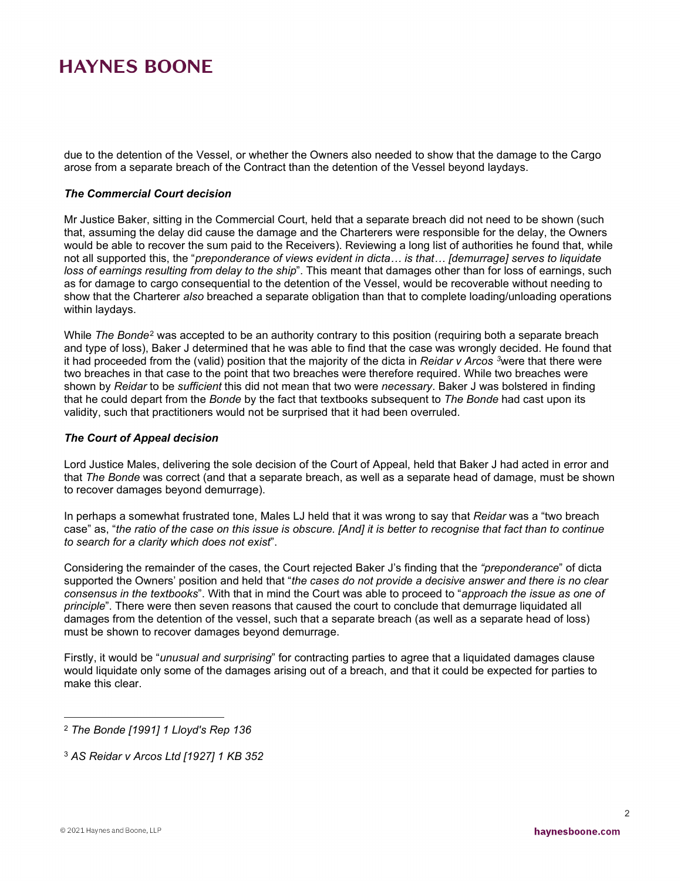due to the detention of the Vessel, or whether the Owners also needed to show that the damage to the Cargo arose from a separate breach of the Contract than the detention of the Vessel beyond laydays.

#### *The Commercial Court decision*

Mr Justice Baker, sitting in the Commercial Court, held that a separate breach did not need to be shown (such that, assuming the delay did cause the damage and the Charterers were responsible for the delay, the Owners would be able to recover the sum paid to the Receivers). Reviewing a long list of authorities he found that, while not all supported this, the "*preponderance of views evident in dicta… is that… [demurrage] serves to liquidate loss of earnings resulting from delay to the ship*". This meant that damages other than for loss of earnings, such as for damage to cargo consequential to the detention of the Vessel, would be recoverable without needing to show that the Charterer *also* breached a separate obligation than that to complete loading/unloading operations within laydays.

While *The Bonde*[2](#page-1-0) was accepted to be an authority contrary to this position (requiring both a separate breach and type of loss), Baker J determined that he was able to find that the case was wrongly decided. He found that it had proceeded from the (valid) position that the majority of the dicta in *Reidar v Arcos [3](#page-1-1)*were that there were two breaches in that case to the point that two breaches were therefore required. While two breaches were shown by *Reidar* to be *sufficient* this did not mean that two were *necessary*. Baker J was bolstered in finding that he could depart from the *Bonde* by the fact that textbooks subsequent to *The Bonde* had cast upon its validity, such that practitioners would not be surprised that it had been overruled.

#### *The Court of Appeal decision*

Lord Justice Males, delivering the sole decision of the Court of Appeal, held that Baker J had acted in error and that *The Bonde* was correct (and that a separate breach, as well as a separate head of damage, must be shown to recover damages beyond demurrage).

In perhaps a somewhat frustrated tone, Males LJ held that it was wrong to say that *Reidar* was a "two breach case" as, "*the ratio of the case on this issue is obscure. [And] it is better to recognise that fact than to continue to search for a clarity which does not exist*".

Considering the remainder of the cases, the Court rejected Baker J's finding that the *"preponderance*" of dicta supported the Owners' position and held that "*the cases do not provide a decisive answer and there is no clear consensus in the textbooks*". With that in mind the Court was able to proceed to "*approach the issue as one of principle*". There were then seven reasons that caused the court to conclude that demurrage liquidated all damages from the detention of the vessel, such that a separate breach (as well as a separate head of loss) must be shown to recover damages beyond demurrage.

Firstly, it would be "*unusual and surprising*" for contracting parties to agree that a liquidated damages clause would liquidate only some of the damages arising out of a breach, and that it could be expected for parties to make this clear.

<span id="page-1-0"></span><sup>2</sup> *The Bonde [1991] 1 Lloyd's Rep 136*

<span id="page-1-1"></span><sup>3</sup> *AS Reidar v Arcos Ltd [1927] 1 KB 352*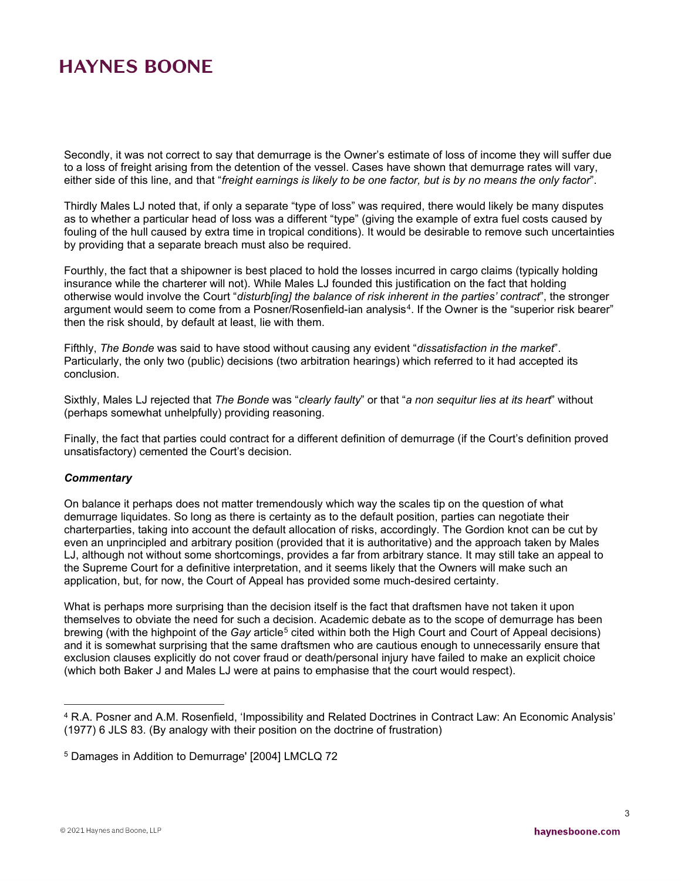Secondly, it was not correct to say that demurrage is the Owner's estimate of loss of income they will suffer due to a loss of freight arising from the detention of the vessel. Cases have shown that demurrage rates will vary, either side of this line, and that "*freight earnings is likely to be one factor, but is by no means the only factor*".

Thirdly Males LJ noted that, if only a separate "type of loss" was required, there would likely be many disputes as to whether a particular head of loss was a different "type" (giving the example of extra fuel costs caused by fouling of the hull caused by extra time in tropical conditions). It would be desirable to remove such uncertainties by providing that a separate breach must also be required.

Fourthly, the fact that a shipowner is best placed to hold the losses incurred in cargo claims (typically holding insurance while the charterer will not). While Males LJ founded this justification on the fact that holding otherwise would involve the Court "*disturb[ing] the balance of risk inherent in the parties' contract*", the stronger argument would seem to come from a Posner/Rosenfield-ian analysis<sup>4</sup>. If the Owner is the "superior risk bearer" then the risk should, by default at least, lie with them.

Fifthly, *The Bonde* was said to have stood without causing any evident "*dissatisfaction in the market*". Particularly, the only two (public) decisions (two arbitration hearings) which referred to it had accepted its conclusion.

Sixthly, Males LJ rejected that *The Bonde* was "*clearly faulty*" or that "*a non sequitur lies at its heart*" without (perhaps somewhat unhelpfully) providing reasoning.

Finally, the fact that parties could contract for a different definition of demurrage (if the Court's definition proved unsatisfactory) cemented the Court's decision.

#### *Commentary*

On balance it perhaps does not matter tremendously which way the scales tip on the question of what demurrage liquidates. So long as there is certainty as to the default position, parties can negotiate their charterparties, taking into account the default allocation of risks, accordingly. The Gordion knot can be cut by even an unprincipled and arbitrary position (provided that it is authoritative) and the approach taken by Males LJ, although not without some shortcomings, provides a far from arbitrary stance. It may still take an appeal to the Supreme Court for a definitive interpretation, and it seems likely that the Owners will make such an application, but, for now, the Court of Appeal has provided some much-desired certainty.

What is perhaps more surprising than the decision itself is the fact that draftsmen have not taken it upon themselves to obviate the need for such a decision. Academic debate as to the scope of demurrage has been brewing (with the highpoint of the *Gay* article[5](#page-2-1) cited within both the High Court and Court of Appeal decisions) and it is somewhat surprising that the same draftsmen who are cautious enough to unnecessarily ensure that exclusion clauses explicitly do not cover fraud or death/personal injury have failed to make an explicit choice (which both Baker J and Males LJ were at pains to emphasise that the court would respect).

<span id="page-2-0"></span><sup>4</sup> R.A. Posner and A.M. Rosenfield, 'Impossibility and Related Doctrines in Contract Law: An Economic Analysis' (1977) 6 JLS 83. (By analogy with their position on the doctrine of frustration)

<span id="page-2-1"></span><sup>5</sup> Damages in Addition to Demurrage' [2004] LMCLQ 72